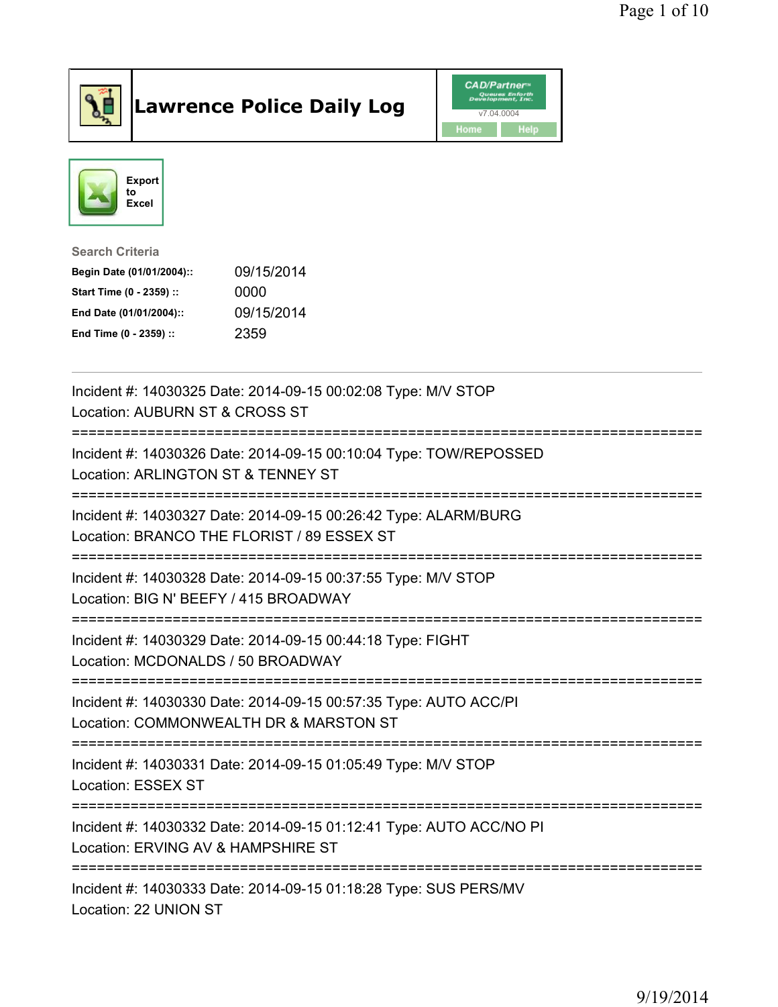

## Lawrence Police Daily Log **Daniel CAD/Partner**





## Search Criteria Begin Date (01/01/2004):: 09/15/2014 Start Time (0 - 2359) :: 0000 End Date (01/01/2004):: 09/15/2014 End Time (0 - 2359) :: 2359

| Incident #: 14030325 Date: 2014-09-15 00:02:08 Type: M/V STOP<br>Location: AUBURN ST & CROSS ST                                  |
|----------------------------------------------------------------------------------------------------------------------------------|
| Incident #: 14030326 Date: 2014-09-15 00:10:04 Type: TOW/REPOSSED<br>Location: ARLINGTON ST & TENNEY ST<br>===================== |
| Incident #: 14030327 Date: 2014-09-15 00:26:42 Type: ALARM/BURG<br>Location: BRANCO THE FLORIST / 89 ESSEX ST                    |
| Incident #: 14030328 Date: 2014-09-15 00:37:55 Type: M/V STOP<br>Location: BIG N' BEEFY / 415 BROADWAY                           |
| Incident #: 14030329 Date: 2014-09-15 00:44:18 Type: FIGHT<br>Location: MCDONALDS / 50 BROADWAY                                  |
| Incident #: 14030330 Date: 2014-09-15 00:57:35 Type: AUTO ACC/PI<br>Location: COMMONWEALTH DR & MARSTON ST                       |
| Incident #: 14030331 Date: 2014-09-15 01:05:49 Type: M/V STOP<br>Location: ESSEX ST                                              |
| Incident #: 14030332 Date: 2014-09-15 01:12:41 Type: AUTO ACC/NO PI<br>Location: ERVING AV & HAMPSHIRE ST                        |
| Incident #: 14030333 Date: 2014-09-15 01:18:28 Type: SUS PERS/MV<br>Location: 22 UNION ST                                        |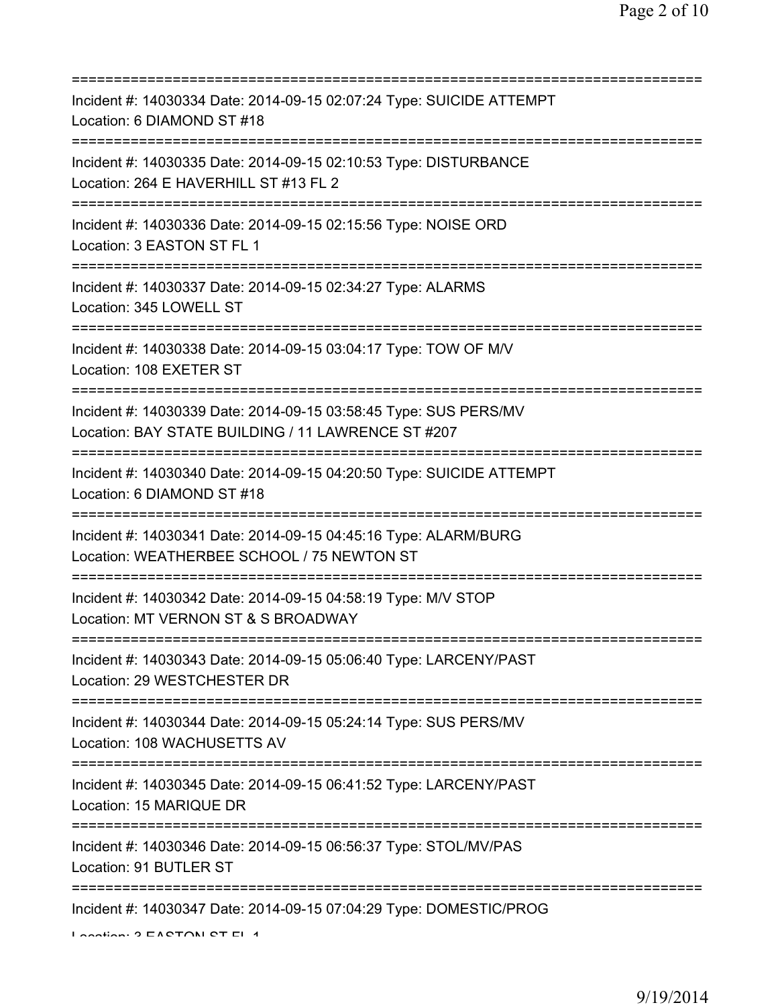| Incident #: 14030334 Date: 2014-09-15 02:07:24 Type: SUICIDE ATTEMPT<br>Location: 6 DIAMOND ST #18                                                             |
|----------------------------------------------------------------------------------------------------------------------------------------------------------------|
| Incident #: 14030335 Date: 2014-09-15 02:10:53 Type: DISTURBANCE<br>Location: 264 E HAVERHILL ST #13 FL 2<br>;===============================                  |
| Incident #: 14030336 Date: 2014-09-15 02:15:56 Type: NOISE ORD<br>Location: 3 EASTON ST FL 1<br>=====================================<br>===================== |
| Incident #: 14030337 Date: 2014-09-15 02:34:27 Type: ALARMS<br>Location: 345 LOWELL ST                                                                         |
| Incident #: 14030338 Date: 2014-09-15 03:04:17 Type: TOW OF M/V<br>Location: 108 EXETER ST                                                                     |
| Incident #: 14030339 Date: 2014-09-15 03:58:45 Type: SUS PERS/MV<br>Location: BAY STATE BUILDING / 11 LAWRENCE ST #207                                         |
| Incident #: 14030340 Date: 2014-09-15 04:20:50 Type: SUICIDE ATTEMPT<br>Location: 6 DIAMOND ST #18<br>========================                                 |
| Incident #: 14030341 Date: 2014-09-15 04:45:16 Type: ALARM/BURG<br>Location: WEATHERBEE SCHOOL / 75 NEWTON ST                                                  |
| Incident #: 14030342 Date: 2014-09-15 04:58:19 Type: M/V STOP<br>Location: MT VERNON ST & S BROADWAY                                                           |
| Incident #: 14030343 Date: 2014-09-15 05:06:40 Type: LARCENY/PAST<br>Location: 29 WESTCHESTER DR                                                               |
| Incident #: 14030344 Date: 2014-09-15 05:24:14 Type: SUS PERS/MV<br>Location: 108 WACHUSETTS AV                                                                |
| Incident #: 14030345 Date: 2014-09-15 06:41:52 Type: LARCENY/PAST<br>Location: 15 MARIQUE DR                                                                   |
| Incident #: 14030346 Date: 2014-09-15 06:56:37 Type: STOL/MV/PAS<br>Location: 91 BUTLER ST                                                                     |
| Incident #: 14030347 Date: 2014-09-15 07:04:29 Type: DOMESTIC/PROG<br>Lootion O EACTON CT EL 4                                                                 |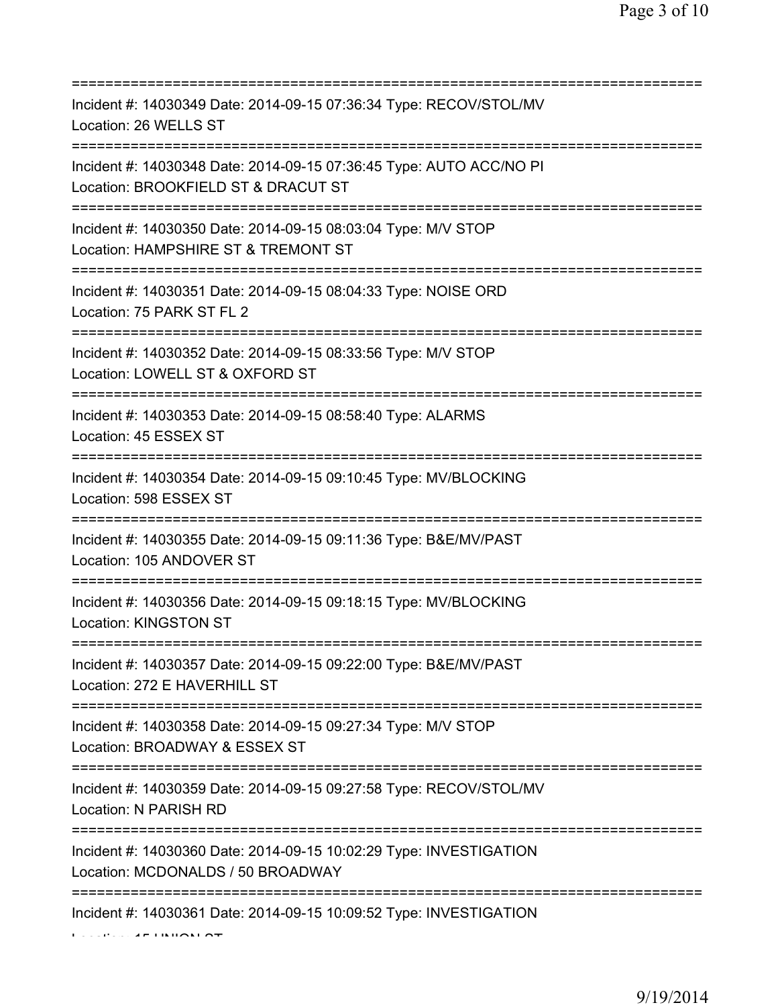| Incident #: 14030349 Date: 2014-09-15 07:36:34 Type: RECOV/STOL/MV<br>Location: 26 WELLS ST                                                     |
|-------------------------------------------------------------------------------------------------------------------------------------------------|
| Incident #: 14030348 Date: 2014-09-15 07:36:45 Type: AUTO ACC/NO PI<br>Location: BROOKFIELD ST & DRACUT ST<br>================================= |
| Incident #: 14030350 Date: 2014-09-15 08:03:04 Type: M/V STOP<br>Location: HAMPSHIRE ST & TREMONT ST<br>===============================         |
| Incident #: 14030351 Date: 2014-09-15 08:04:33 Type: NOISE ORD<br>Location: 75 PARK ST FL 2<br>===============================                  |
| Incident #: 14030352 Date: 2014-09-15 08:33:56 Type: M/V STOP<br>Location: LOWELL ST & OXFORD ST                                                |
| Incident #: 14030353 Date: 2014-09-15 08:58:40 Type: ALARMS<br>Location: 45 ESSEX ST<br>===============================                         |
| Incident #: 14030354 Date: 2014-09-15 09:10:45 Type: MV/BLOCKING<br>Location: 598 ESSEX ST                                                      |
| Incident #: 14030355 Date: 2014-09-15 09:11:36 Type: B&E/MV/PAST<br>Location: 105 ANDOVER ST                                                    |
| Incident #: 14030356 Date: 2014-09-15 09:18:15 Type: MV/BLOCKING<br>Location: KINGSTON ST                                                       |
| Incident #: 14030357 Date: 2014-09-15 09:22:00 Type: B&E/MV/PAST<br>Location: 272 E HAVERHILL ST                                                |
| Incident #: 14030358 Date: 2014-09-15 09:27:34 Type: M/V STOP<br>Location: BROADWAY & ESSEX ST                                                  |
| Incident #: 14030359 Date: 2014-09-15 09:27:58 Type: RECOV/STOL/MV<br>Location: N PARISH RD<br>=====================================            |
| Incident #: 14030360 Date: 2014-09-15 10:02:29 Type: INVESTIGATION<br>Location: MCDONALDS / 50 BROADWAY                                         |
| Incident #: 14030361 Date: 2014-09-15 10:09:52 Type: INVESTIGATION                                                                              |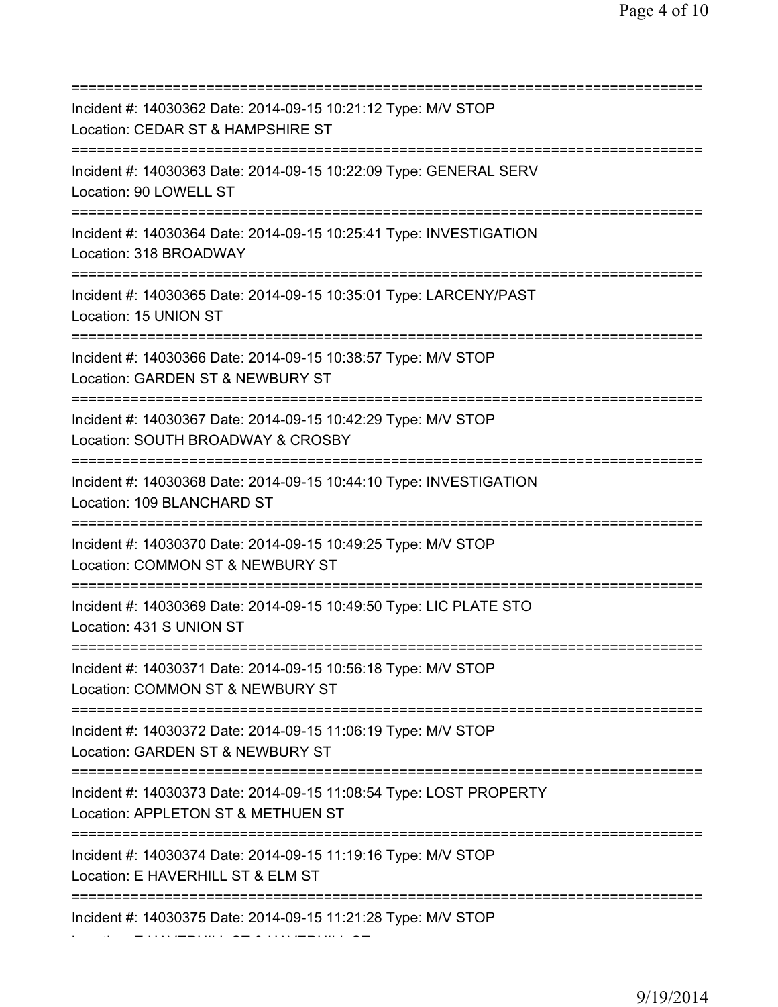=========================================================================== Incident #: 14030362 Date: 2014-09-15 10:21:12 Type: M/V STOP Location: CEDAR ST & HAMPSHIRE ST =========================================================================== Incident #: 14030363 Date: 2014-09-15 10:22:09 Type: GENERAL SERV Location: 90 LOWELL ST =========================================================================== Incident #: 14030364 Date: 2014-09-15 10:25:41 Type: INVESTIGATION Location: 318 BROADWAY =========================================================================== Incident #: 14030365 Date: 2014-09-15 10:35:01 Type: LARCENY/PAST Location: 15 UNION ST =========================================================================== Incident #: 14030366 Date: 2014-09-15 10:38:57 Type: M/V STOP Location: GARDEN ST & NEWBURY ST =========================================================================== Incident #: 14030367 Date: 2014-09-15 10:42:29 Type: M/V STOP Location: SOUTH BROADWAY & CROSBY =========================================================================== Incident #: 14030368 Date: 2014-09-15 10:44:10 Type: INVESTIGATION Location: 109 BLANCHARD ST =========================================================================== Incident #: 14030370 Date: 2014-09-15 10:49:25 Type: M/V STOP Location: COMMON ST & NEWBURY ST =========================================================================== Incident #: 14030369 Date: 2014-09-15 10:49:50 Type: LIC PLATE STO Location: 431 S UNION ST =========================================================================== Incident #: 14030371 Date: 2014-09-15 10:56:18 Type: M/V STOP Location: COMMON ST & NEWBURY ST =========================================================================== Incident #: 14030372 Date: 2014-09-15 11:06:19 Type: M/V STOP Location: GARDEN ST & NEWBURY ST =========================================================================== Incident #: 14030373 Date: 2014-09-15 11:08:54 Type: LOST PROPERTY Location: APPLETON ST & METHUEN ST =========================================================================== Incident #: 14030374 Date: 2014-09-15 11:19:16 Type: M/V STOP Location: E HAVERHILL ST & ELM ST =========================================================================== Incident #: 14030375 Date: 2014-09-15 11:21:28 Type: M/V STOP Location: E HAVERHILL ST & HAVERHILL ST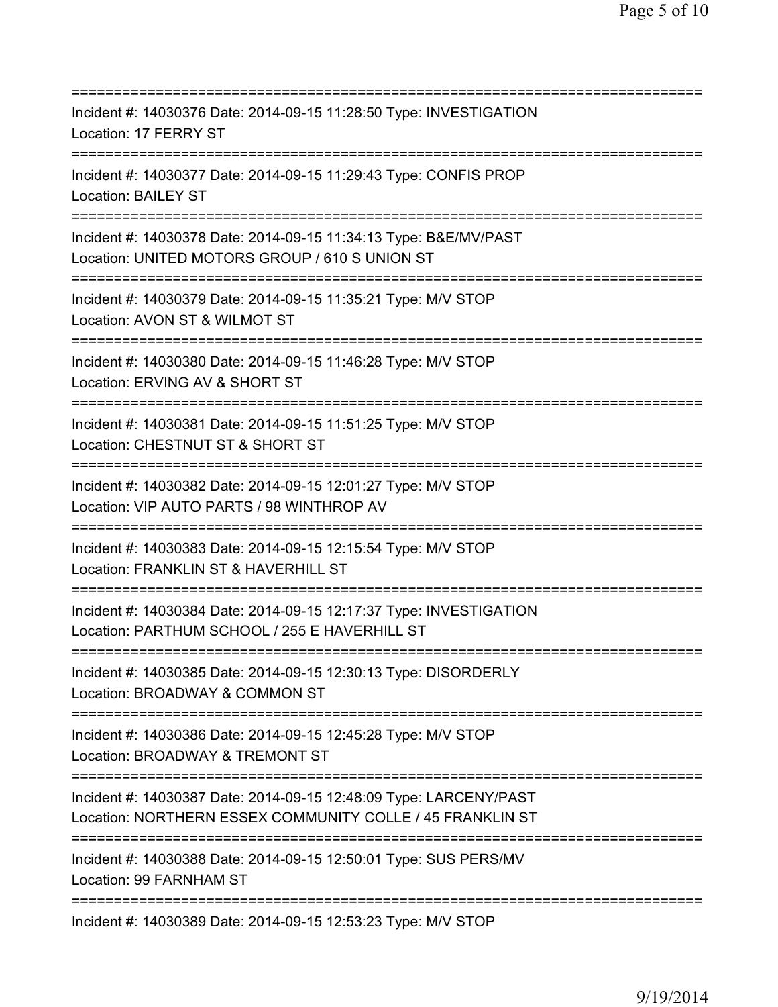| ==========================                                                                                                     |
|--------------------------------------------------------------------------------------------------------------------------------|
| Incident #: 14030376 Date: 2014-09-15 11:28:50 Type: INVESTIGATION<br>Location: 17 FERRY ST                                    |
| Incident #: 14030377 Date: 2014-09-15 11:29:43 Type: CONFIS PROP<br><b>Location: BAILEY ST</b>                                 |
| Incident #: 14030378 Date: 2014-09-15 11:34:13 Type: B&E/MV/PAST<br>Location: UNITED MOTORS GROUP / 610 S UNION ST             |
| Incident #: 14030379 Date: 2014-09-15 11:35:21 Type: M/V STOP<br>Location: AVON ST & WILMOT ST                                 |
| Incident #: 14030380 Date: 2014-09-15 11:46:28 Type: M/V STOP<br>Location: ERVING AV & SHORT ST                                |
| Incident #: 14030381 Date: 2014-09-15 11:51:25 Type: M/V STOP<br>Location: CHESTNUT ST & SHORT ST                              |
| Incident #: 14030382 Date: 2014-09-15 12:01:27 Type: M/V STOP<br>Location: VIP AUTO PARTS / 98 WINTHROP AV                     |
| Incident #: 14030383 Date: 2014-09-15 12:15:54 Type: M/V STOP<br>Location: FRANKLIN ST & HAVERHILL ST                          |
| Incident #: 14030384 Date: 2014-09-15 12:17:37 Type: INVESTIGATION<br>Location: PARTHUM SCHOOL / 255 E HAVERHILL ST            |
| Incident #: 14030385 Date: 2014-09-15 12:30:13 Type: DISORDERLY<br>Location: BROADWAY & COMMON ST                              |
| Incident #: 14030386 Date: 2014-09-15 12:45:28 Type: M/V STOP<br>Location: BROADWAY & TREMONT ST                               |
| Incident #: 14030387 Date: 2014-09-15 12:48:09 Type: LARCENY/PAST<br>Location: NORTHERN ESSEX COMMUNITY COLLE / 45 FRANKLIN ST |
| Incident #: 14030388 Date: 2014-09-15 12:50:01 Type: SUS PERS/MV<br>Location: 99 FARNHAM ST                                    |
| Incident #: 14030389 Date: 2014-09-15 12:53:23 Type: M/V STOP                                                                  |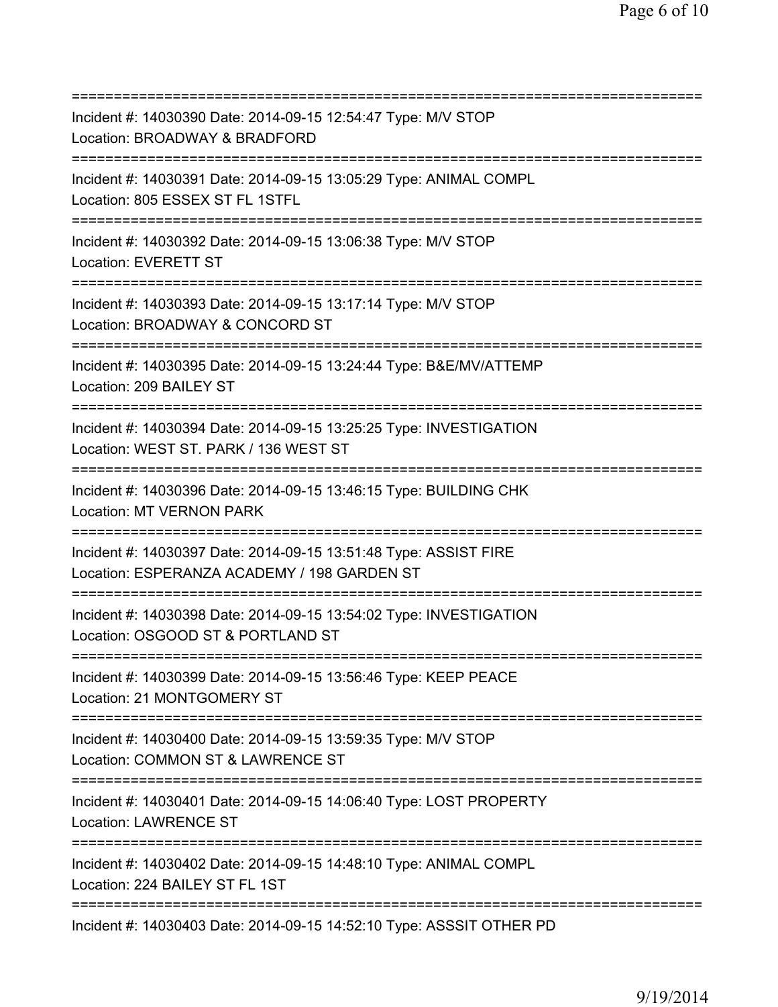| Incident #: 14030390 Date: 2014-09-15 12:54:47 Type: M/V STOP<br>Location: BROADWAY & BRADFORD<br>===========================<br>============ |
|-----------------------------------------------------------------------------------------------------------------------------------------------|
| Incident #: 14030391 Date: 2014-09-15 13:05:29 Type: ANIMAL COMPL<br>Location: 805 ESSEX ST FL 1STFL                                          |
| Incident #: 14030392 Date: 2014-09-15 13:06:38 Type: M/V STOP<br>Location: EVERETT ST                                                         |
| Incident #: 14030393 Date: 2014-09-15 13:17:14 Type: M/V STOP<br>Location: BROADWAY & CONCORD ST<br>=====================================     |
| Incident #: 14030395 Date: 2014-09-15 13:24:44 Type: B&E/MV/ATTEMP<br>Location: 209 BAILEY ST<br>====================================         |
| Incident #: 14030394 Date: 2014-09-15 13:25:25 Type: INVESTIGATION<br>Location: WEST ST. PARK / 136 WEST ST<br>=====================          |
| Incident #: 14030396 Date: 2014-09-15 13:46:15 Type: BUILDING CHK<br><b>Location: MT VERNON PARK</b>                                          |
| Incident #: 14030397 Date: 2014-09-15 13:51:48 Type: ASSIST FIRE<br>Location: ESPERANZA ACADEMY / 198 GARDEN ST                               |
| Incident #: 14030398 Date: 2014-09-15 13:54:02 Type: INVESTIGATION<br>Location: OSGOOD ST & PORTLAND ST                                       |
| Incident #: 14030399 Date: 2014-09-15 13:56:46 Type: KEEP PEACE<br>Location: 21 MONTGOMERY ST                                                 |
| Incident #: 14030400 Date: 2014-09-15 13:59:35 Type: M/V STOP<br>Location: COMMON ST & LAWRENCE ST<br>:========================               |
| Incident #: 14030401 Date: 2014-09-15 14:06:40 Type: LOST PROPERTY<br><b>Location: LAWRENCE ST</b>                                            |
| ;==================================<br>Incident #: 14030402 Date: 2014-09-15 14:48:10 Type: ANIMAL COMPL<br>Location: 224 BAILEY ST FL 1ST    |
| Incident #: 14030403 Date: 2014-09-15 14:52:10 Type: ASSSIT OTHER PD                                                                          |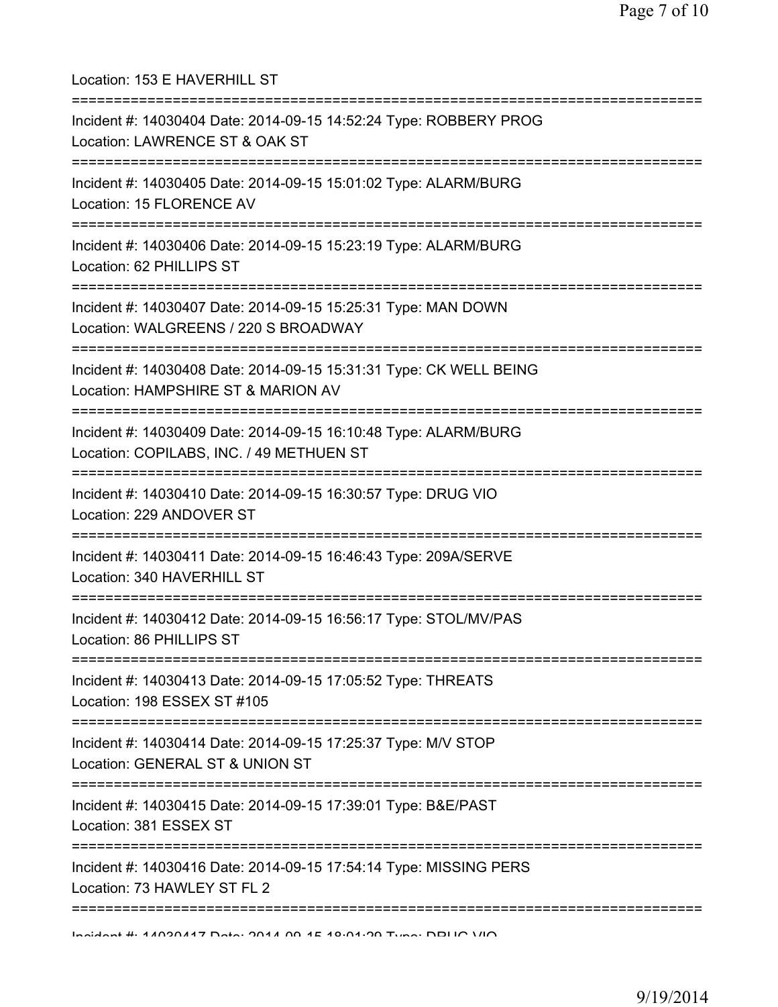| Location: 153 E HAVERHILL ST                                                                                                     |
|----------------------------------------------------------------------------------------------------------------------------------|
| Incident #: 14030404 Date: 2014-09-15 14:52:24 Type: ROBBERY PROG<br>Location: LAWRENCE ST & OAK ST                              |
| Incident #: 14030405 Date: 2014-09-15 15:01:02 Type: ALARM/BURG<br>Location: 15 FLORENCE AV                                      |
| Incident #: 14030406 Date: 2014-09-15 15:23:19 Type: ALARM/BURG<br>Location: 62 PHILLIPS ST<br>===============================   |
| Incident #: 14030407 Date: 2014-09-15 15:25:31 Type: MAN DOWN<br>Location: WALGREENS / 220 S BROADWAY                            |
| Incident #: 14030408 Date: 2014-09-15 15:31:31 Type: CK WELL BEING<br>Location: HAMPSHIRE ST & MARION AV                         |
| Incident #: 14030409 Date: 2014-09-15 16:10:48 Type: ALARM/BURG<br>Location: COPILABS, INC. / 49 METHUEN ST                      |
| Incident #: 14030410 Date: 2014-09-15 16:30:57 Type: DRUG VIO<br>Location: 229 ANDOVER ST                                        |
| Incident #: 14030411 Date: 2014-09-15 16:46:43 Type: 209A/SERVE<br>Location: 340 HAVERHILL ST                                    |
| Incident #: 14030412 Date: 2014-09-15 16:56:17 Type: STOL/MV/PAS<br>Location: 86 PHILLIPS ST                                     |
| :=====================<br>Incident #: 14030413 Date: 2014-09-15 17:05:52 Type: THREATS<br>Location: 198 ESSEX ST #105            |
| ============================<br>Incident #: 14030414 Date: 2014-09-15 17:25:37 Type: M/V STOP<br>Location: GENERAL ST & UNION ST |
| :=========<br>Incident #: 14030415 Date: 2014-09-15 17:39:01 Type: B&E/PAST<br>Location: 381 ESSEX ST                            |
| ,,,, <u>,,,,,,,,,,,</u> ,<br>Incident #: 14030416 Date: 2014-09-15 17:54:14 Type: MISSING PERS<br>Location: 73 HAWLEY ST FL 2    |
| The UNION CONTROLLER ON A KNOW THAT HE ADDIES AND THE HOLOGE OF THE HOLOGICAL                                                    |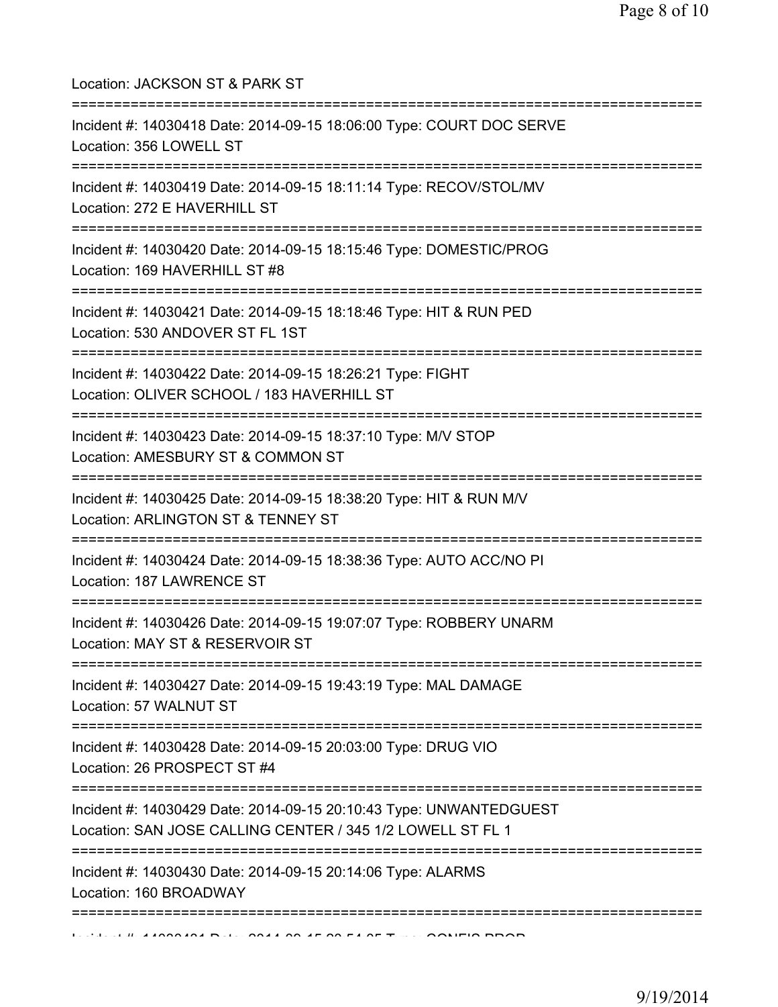| Location: JACKSON ST & PARK ST                                                                                                                 |
|------------------------------------------------------------------------------------------------------------------------------------------------|
| Incident #: 14030418 Date: 2014-09-15 18:06:00 Type: COURT DOC SERVE<br>Location: 356 LOWELL ST                                                |
| Incident #: 14030419 Date: 2014-09-15 18:11:14 Type: RECOV/STOL/MV<br>Location: 272 E HAVERHILL ST<br>======================================   |
| Incident #: 14030420 Date: 2014-09-15 18:15:46 Type: DOMESTIC/PROG<br>Location: 169 HAVERHILL ST #8                                            |
| Incident #: 14030421 Date: 2014-09-15 18:18:46 Type: HIT & RUN PED<br>Location: 530 ANDOVER ST FL 1ST<br>===================================== |
| Incident #: 14030422 Date: 2014-09-15 18:26:21 Type: FIGHT<br>Location: OLIVER SCHOOL / 183 HAVERHILL ST                                       |
| Incident #: 14030423 Date: 2014-09-15 18:37:10 Type: M/V STOP<br>Location: AMESBURY ST & COMMON ST                                             |
| Incident #: 14030425 Date: 2014-09-15 18:38:20 Type: HIT & RUN M/V<br>Location: ARLINGTON ST & TENNEY ST                                       |
| Incident #: 14030424 Date: 2014-09-15 18:38:36 Type: AUTO ACC/NO PI<br>Location: 187 LAWRENCE ST                                               |
| Incident #: 14030426 Date: 2014-09-15 19:07:07 Type: ROBBERY UNARM<br>Location: MAY ST & RESERVOIR ST                                          |
| Incident #: 14030427 Date: 2014-09-15 19:43:19 Type: MAL DAMAGE<br>Location: 57 WALNUT ST                                                      |
| Incident #: 14030428 Date: 2014-09-15 20:03:00 Type: DRUG VIO<br>Location: 26 PROSPECT ST #4                                                   |
| Incident #: 14030429 Date: 2014-09-15 20:10:43 Type: UNWANTEDGUEST<br>Location: SAN JOSE CALLING CENTER / 345 1/2 LOWELL ST FL 1               |
| Incident #: 14030430 Date: 2014-09-15 20:14:06 Type: ALARMS<br>Location: 160 BROADWAY                                                          |
| ===========                                                                                                                                    |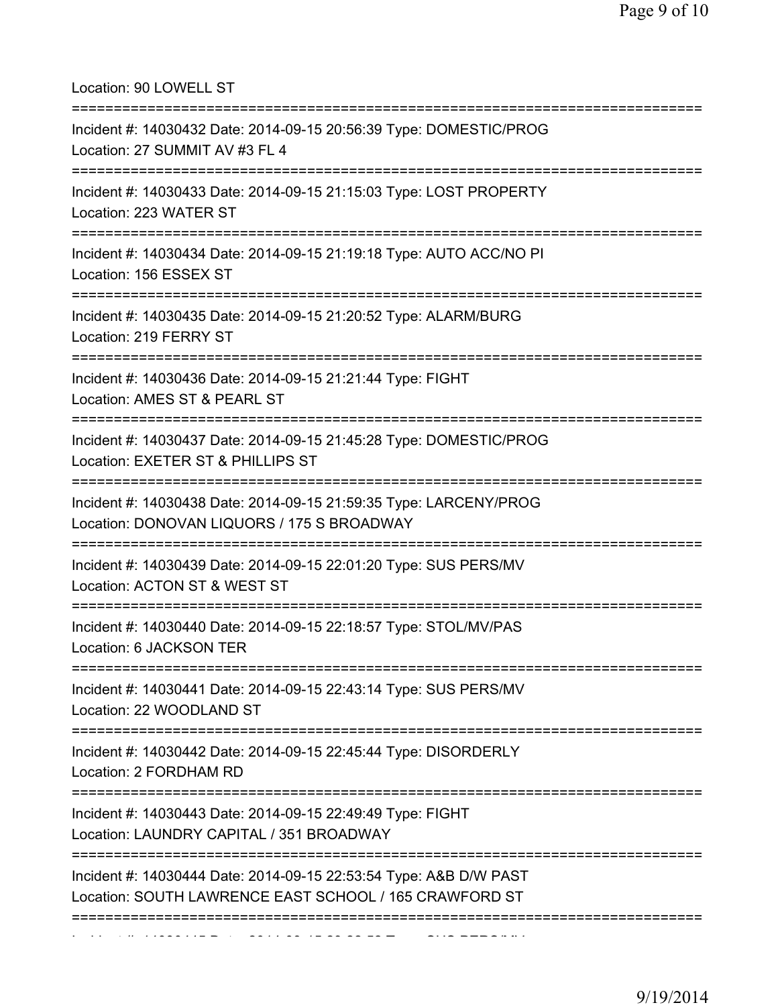Location: 90 LOWELL ST

| Incident #: 14030432 Date: 2014-09-15 20:56:39 Type: DOMESTIC/PROG<br>Location: 27 SUMMIT AV #3 FL 4                                        |
|---------------------------------------------------------------------------------------------------------------------------------------------|
| Incident #: 14030433 Date: 2014-09-15 21:15:03 Type: LOST PROPERTY<br>Location: 223 WATER ST                                                |
| ===============================<br>Incident #: 14030434 Date: 2014-09-15 21:19:18 Type: AUTO ACC/NO PI<br>Location: 156 ESSEX ST            |
| Incident #: 14030435 Date: 2014-09-15 21:20:52 Type: ALARM/BURG<br>Location: 219 FERRY ST                                                   |
| Incident #: 14030436 Date: 2014-09-15 21:21:44 Type: FIGHT<br>Location: AMES ST & PEARL ST                                                  |
| Incident #: 14030437 Date: 2014-09-15 21:45:28 Type: DOMESTIC/PROG<br>Location: EXETER ST & PHILLIPS ST                                     |
| Incident #: 14030438 Date: 2014-09-15 21:59:35 Type: LARCENY/PROG<br>Location: DONOVAN LIQUORS / 175 S BROADWAY<br>:======================= |
| Incident #: 14030439 Date: 2014-09-15 22:01:20 Type: SUS PERS/MV<br>Location: ACTON ST & WEST ST                                            |
| Incident #: 14030440 Date: 2014-09-15 22:18:57 Type: STOL/MV/PAS<br>Location: 6 JACKSON TER                                                 |
| Incident #: 14030441 Date: 2014-09-15 22:43:14 Type: SUS PERS/MV<br>Location: 22 WOODLAND ST                                                |
| Incident #: 14030442 Date: 2014-09-15 22:45:44 Type: DISORDERLY<br>Location: 2 FORDHAM RD                                                   |
| Incident #: 14030443 Date: 2014-09-15 22:49:49 Type: FIGHT<br>Location: LAUNDRY CAPITAL / 351 BROADWAY                                      |
| Incident #: 14030444 Date: 2014-09-15 22:53:54 Type: A&B D/W PAST<br>Location: SOUTH LAWRENCE EAST SCHOOL / 165 CRAWFORD ST                 |
|                                                                                                                                             |